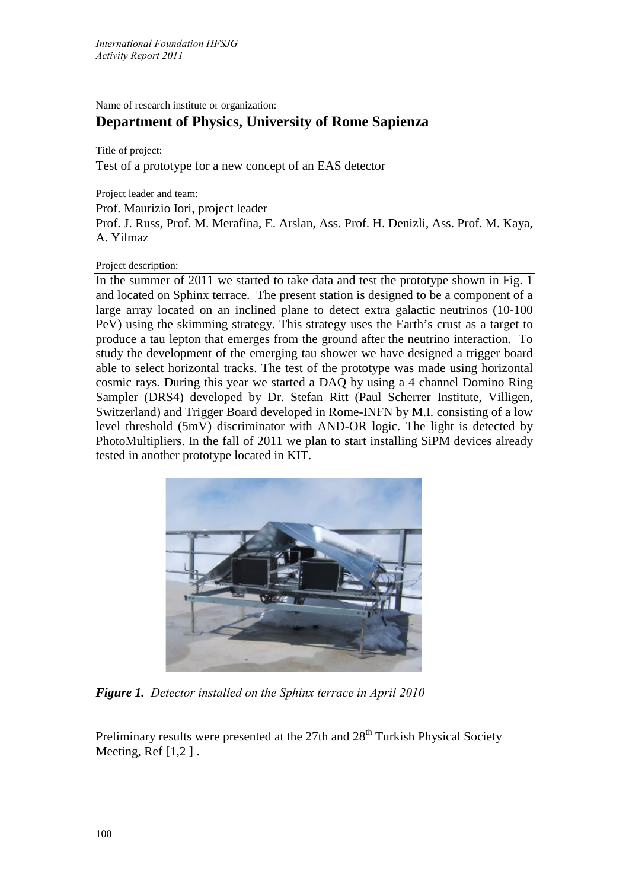Name of research institute or organization:

## **Department of Physics, University of Rome Sapienza**

Title of project:

Test of a prototype for a new concept of an EAS detector

Project leader and team:

Prof. Maurizio Iori, project leader

Prof. J. Russ, Prof. M. Merafina, E. Arslan, Ass. Prof. H. Denizli, Ass. Prof. M. Kaya, A. Yilmaz

## Project description:

In the summer of 2011 we started to take data and test the prototype shown in Fig. 1 and located on Sphinx terrace. The present station is designed to be a component of a large array located on an inclined plane to detect extra galactic neutrinos (10-100 PeV) using the skimming strategy. This strategy uses the Earth's crust as a target to produce a tau lepton that emerges from the ground after the neutrino interaction. To study the development of the emerging tau shower we have designed a trigger board able to select horizontal tracks. The test of the prototype was made using horizontal cosmic rays. During this year we started a DAQ by using a 4 channel Domino Ring Sampler (DRS4) developed by Dr. Stefan Ritt (Paul Scherrer Institute, Villigen, Switzerland) and Trigger Board developed in Rome-INFN by M.I. consisting of a low level threshold (5mV) discriminator with AND-OR logic. The light is detected by PhotoMultipliers. In the fall of 2011 we plan to start installing SiPM devices already tested in another prototype located in KIT.



*Figure 1. Detector installed on the Sphinx terrace in April 2010* 

Preliminary results were presented at the  $27th$  and  $28<sup>th</sup>$  Turkish Physical Society Meeting, Ref [1,2 ] .